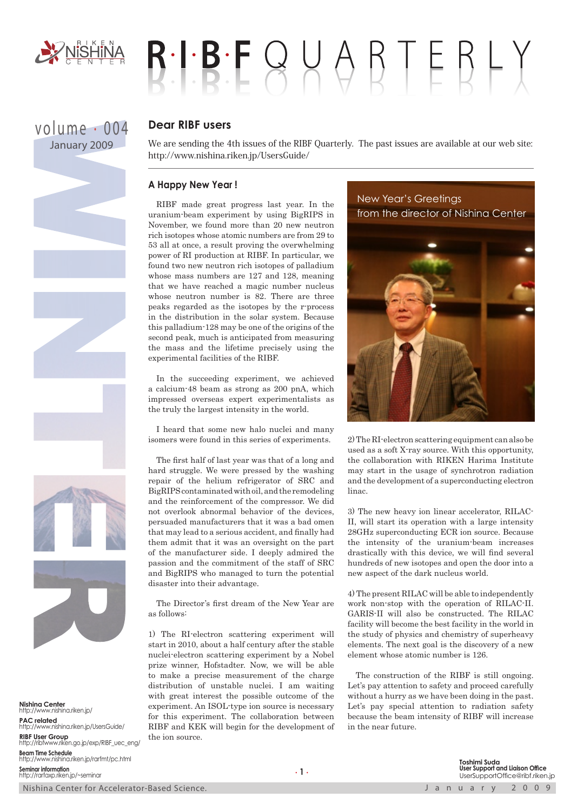

volume . 004 January 2009

# $R \cdot I \cdot B \cdot F \cup Q \cup Q \cap F \in R \cup Y$

## **Dear RIBF users**

We are sending the 4th issues of the RIBF Quarterly. The past issues are available at our web site: http://www.nishina.riken.jp/UsersGuide/

### **A Happy New Year !**

RIBF made great progress last year. In the uranium-beam experiment by using BigRIPS in November, we found more than 20 new neutron rich isotopes whose atomic numbers are from 29 to 53 all at once, a result proving the overwhelming power of RI production at RIBF. In particular, we found two new neutron rich isotopes of palladium whose mass numbers are 127 and 128, meaning that we have reached a magic number nucleus whose neutron number is 82. There are three peaks regarded as the isotopes by the r-process in the distribution in the solar system. Because this palladium-128 may be one of the origins of the second peak, much is anticipated from measuring the mass and the lifetime precisely using the experimental facilities of the RIBF.

In the succeeding experiment, we achieved a calcium-48 beam as strong as 200 pnA, which impressed overseas expert experimentalists as the truly the largest intensity in the world.

I heard that some new halo nuclei and many isomers were found in this series of experiments.

The first half of last year was that of a long and hard struggle. We were pressed by the washing repair of the helium refrigerator of SRC and BigRIPS contaminated with oil, and the remodeling and the reinforcement of the compressor. We did not overlook abnormal behavior of the devices, persuaded manufacturers that it was a bad omen that may lead to a serious accident, and finally had them admit that it was an oversight on the part of the manufacturer side. I deeply admired the passion and the commitment of the staff of SRC and BigRIPS who managed to turn the potential disaster into their advantage.

The Director's first dream of the New Year are as follows:

1) The RI-electron scattering experiment will start in 2010, about a half century after the stable nuclei-electron scattering experiment by a Nobel prize winner, Hofstadter. Now, we will be able to make a precise measurement of the charge distribution of unstable nuclei. I am waiting with great interest the possible outcome of the experiment. An ISOL-type ion source is necessary for this experiment. The collaboration between RIBF and KEK will begin for the development of the ion source.

New Year's Greetings from the director of Nishina Center



2) The RI-electron scattering equipment can also be used as a soft X-ray source. With this opportunity, the collaboration with RIKEN Harima Institute may start in the usage of synchrotron radiation and the development of a superconducting electron linac.

3) The new heavy ion linear accelerator, RILAC-II, will start its operation with a large intensity 28GHz superconducting ECR ion source. Because the intensity of the uranium-beam increases drastically with this device, we will find several hundreds of new isotopes and open the door into a new aspect of the dark nucleus world.

4) The present RILAC will be able to independently work non-stop with the operation of RILAC-II. GARIS-II will also be constructed. The RILAC facility will become the best facility in the world in the study of physics and chemistry of superheavy elements. The next goal is the discovery of a new element whose atomic number is 126.

The construction of the RIBF is still ongoing. Let's pay attention to safety and proceed carefully without a hurry as we have been doing in the past. Let's pay special attention to radiation safety because the beam intensity of RIBF will increase in the near future.

**Nishina Center** http://www.nishina.riken.jp/ **PAC related** http://www.nishina.riken.jp/UsersGuide/ **RIBF User Group** http://ribfwww.riken.go.jp/exp/RIBF\_uec\_eng/ **Beam Time Schedule** http://www.nishina.riken.jp/rarfmt/pc.html **Seminar information** http://rarfaxp.riken.jp/~seminar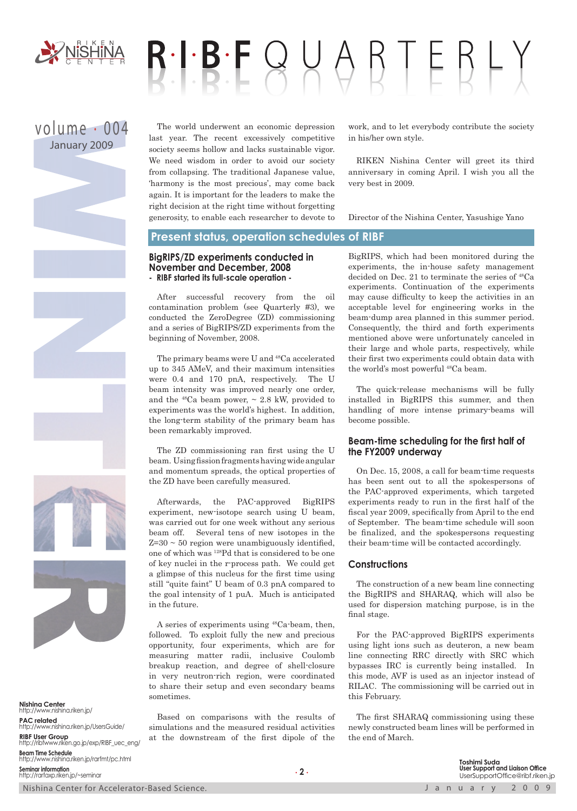

# $R \cdot I \cdot B \cdot F \cup Q \cup Q \cap F \in R \vdash Y$

# volume . 004 January 2009

The world underwent an economic depression last year. The recent excessively competitive society seems hollow and lacks sustainable vigor. We need wisdom in order to avoid our society from collapsing. The traditional Japanese value, 'harmony is the most precious', may come back again. It is important for the leaders to make the right decision at the right time without forgetting generosity, to enable each researcher to devote to work, and to let everybody contribute the society in his/her own style.

RIKEN Nishina Center will greet its third anniversary in coming April. I wish you all the very best in 2009.

Director of the Nishina Center, Yasushige Yano

#### **Present status, operation schedules of RIBF**

#### **BigRIPS/ZD experiments conducted in November and December, 2008 - RIBF started its full-scale operation -**

After successful recovery from the oil contamination problem (see Quarterly #3), we conducted the ZeroDegree (ZD) commissioning and a series of BigRIPS/ZD experiments from the beginning of November, 2008.

The primary beams were U and 48Ca accelerated up to 345 AMeV, and their maximum intensities were 0.4 and 170 pnA, respectively. The U beam intensity was improved nearly one order, and the  $48Ca$  beam power,  $\sim 2.8$  kW, provided to experiments was the world's highest. In addition, the long-term stability of the primary beam has been remarkably improved.

The ZD commissioning ran first using the U beam. Using fission fragments having wide angular and momentum spreads, the optical properties of the ZD have been carefully measured.

Afterwards, the PAC-approved BigRIPS experiment, new-isotope search using U beam, was carried out for one week without any serious beam off. Several tens of new isotopes in the  $Z=30 \sim 50$  region were unambiguously identified, one of which was 128Pd that is considered to be one of key nuclei in the r-process path. We could get a glimpse of this nucleus for the first time using still "quite faint" U beam of 0.3 pnA compared to the goal intensity of 1 puA. Much is anticipated in the future.

A series of experiments using 48Ca-beam, then, followed. To exploit fully the new and precious opportunity, four experiments, which are for measuring matter radii, inclusive Coulomb breakup reaction, and degree of shell-closure in very neutron-rich region, were coordinated to share their setup and even secondary beams sometimes.

Based on comparisons with the results of simulations and the measured residual activities at the downstream of the first dipole of the

BigRIPS, which had been monitored during the experiments, the in-house safety management decided on Dec. 21 to terminate the series of 48Ca experiments. Continuation of the experiments may cause difficulty to keep the activities in an acceptable level for engineering works in the beam-dump area planned in this summer period. Consequently, the third and forth experiments mentioned above were unfortunately canceled in their large and whole parts, respectively, while their first two experiments could obtain data with the world's most powerful 48Ca beam.

The quick-release mechanisms will be fully installed in BigRIPS this summer, and then handling of more intense primary-beams will become possible.

#### **Beam-time scheduling for the first half of the FY2009 underway**

On Dec. 15, 2008, a call for beam-time requests has been sent out to all the spokespersons of the PAC-approved experiments, which targeted experiments ready to run in the first half of the fiscal year 2009, specifically from April to the end of September. The beam-time schedule will soon be finalized, and the spokespersons requesting their beam-time will be contacted accordingly.

#### **Constructions**

The construction of a new beam line connecting the BigRIPS and SHARAQ, which will also be used for dispersion matching purpose, is in the final stage.

For the PAC-approved BigRIPS experiments using light ions such as deuteron, a new beam line connecting RRC directly with SRC which bypasses IRC is currently being installed. In this mode, AVF is used as an injector instead of RILAC. The commissioning will be carried out in this February.

The first SHARAQ commissioning using these newly constructed beam lines will be performed in the end of March.

**Nishina Center**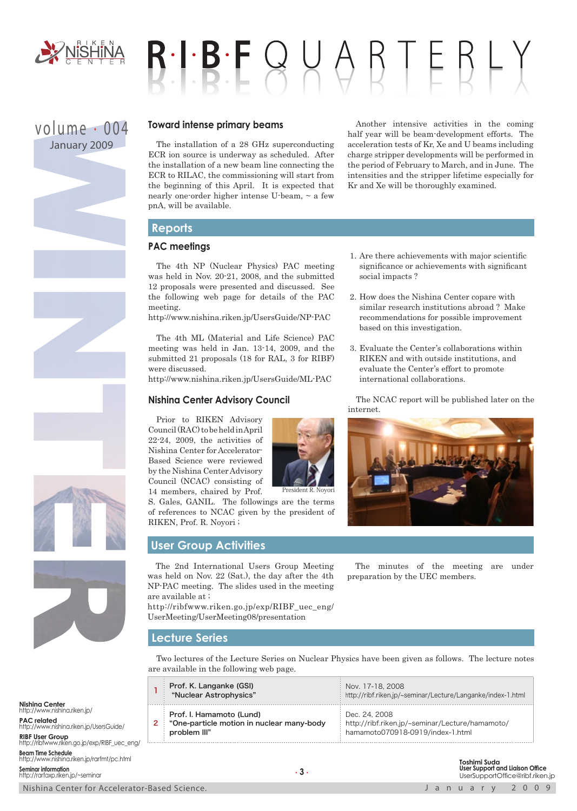

# $B \cdot I \cdot B \cdot F \cup A \cup B \top F B \vdash$

# volume . 004 January 2009



The installation of a 28 GHz superconducting ECR ion source is underway as scheduled. After the installation of a new beam line connecting the ECR to RILAC, the commissioning will start from the beginning of this April. It is expected that nearly one-order higher intense U-beam, ~ a few pnA, will be available.

Another intensive activities in the coming half year will be beam-development efforts. The acceleration tests of Kr, Xe and U beams including charge stripper developments will be performed in the period of February to March, and in June. The intensities and the stripper lifetime especially for Kr and Xe will be thoroughly examined.

# **Reports**

## **PAC meetings**

The 4th NP (Nuclear Physics) PAC meeting was held in Nov. 20-21, 2008, and the submitted 12 proposals were presented and discussed. See the following web page for details of the PAC meeting.

http://www.nishina.riken.jp/UsersGuide/NP-PAC

The 4th ML (Material and Life Science) PAC meeting was held in Jan. 13-14, 2009, and the submitted 21 proposals (18 for RAL, 3 for RIBF) were discussed.

http://www.nishina.riken.jp/UsersGuide/ML-PAC

### **Nishina Center Advisory Council**

Prior to RIKEN Advisory Council (RAC) to be held in April 22-24, 2009, the activities of Nishina Center for Accelerator-Based Science were reviewed by the Nishina Center Advisory Council (NCAC) consisting of 14 members, chaired by Prof.

S. Gales, GANIL. The followings are the terms of references to NCAC given by the president of RIKEN, Prof. R. Noyori ; President R. Noyori

# **User Group Activities**

The 2nd International Users Group Meeting was held on Nov. 22 (Sat.), the day after the 4th NP-PAC meeting. The slides used in the meeting are available at ;

http://ribfwww.riken.go.jp/exp/RIBF\_uec\_eng/ UserMeeting/UserMeeting08/presentation

- 1. Are there achievements with major scientific significance or achievements with significant social impacts ?
- 2. How does the Nishina Center copare with similar research institutions abroad ? Make recommendations for possible improvement based on this investigation.
- 3. Evaluate the Center's collaborations within RIKEN and with outside institutions, and evaluate the Center's effort to promote international collaborations.

The NCAC report will be published later on the internet.



The minutes of the meeting are under preparation by the UEC members.

### **Lecture Series**

Two lectures of the Lecture Series on Nuclear Physics have been given as follows. The lecture notes are available in the following web page.

| Prof. K. Langanke (GSI)<br>"Nuclear Astrophysics"                                     | Nov. 17-18, 2008<br>http://ribf.riken.jp/~seminar/Lecture/Langanke/index-1.html                      |
|---------------------------------------------------------------------------------------|------------------------------------------------------------------------------------------------------|
| Prof. I. Hamamoto (Lund)<br>"One-particle motion in nuclear many-body<br>problem III" | Dec. 24, 2008<br>http://ribf.riken.jp/~seminar/Lecture/hamamoto/<br>hamamoto070918-0919/index-1.html |